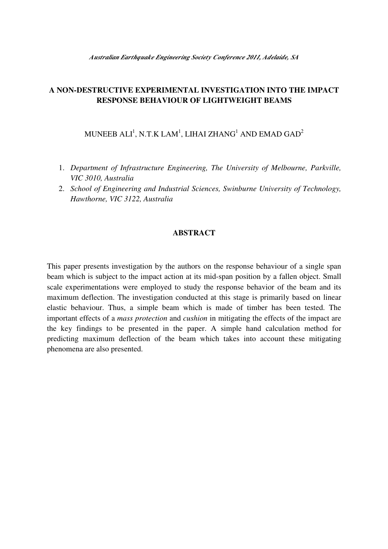# **A NON-DESTRUCTIVE EXPERIMENTAL INVESTIGATION INTO THE IMPACT RESPONSE BEHAVIOUR OF LIGHTWEIGHT BEAMS**

MUNEEB ALI $^{\rm l}$ , N.T.K LAM $^{\rm l}$ , LIHAI ZHANG $^{\rm l}$  AND EMAD GAD $^{\rm 2}$ 

- 1. *Department of Infrastructure Engineering, The University of Melbourne, Parkville, VIC 3010, Australia*
- 2. *School of Engineering and Industrial Sciences, Swinburne University of Technology, Hawthorne, VIC 3122, Australia*

#### **ABSTRACT**

This paper presents investigation by the authors on the response behaviour of a single span beam which is subject to the impact action at its mid-span position by a fallen object. Small scale experimentations were employed to study the response behavior of the beam and its maximum deflection. The investigation conducted at this stage is primarily based on linear elastic behaviour. Thus, a simple beam which is made of timber has been tested. The important effects of a *mass protection* and *cushion* in mitigating the effects of the impact are the key findings to be presented in the paper. A simple hand calculation method for predicting maximum deflection of the beam which takes into account these mitigating phenomena are also presented.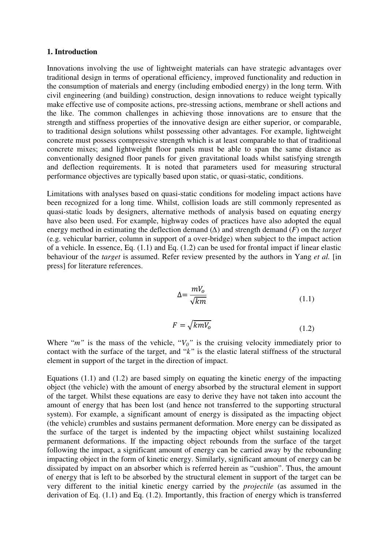#### **1. Introduction**

Innovations involving the use of lightweight materials can have strategic advantages over traditional design in terms of operational efficiency, improved functionality and reduction in the consumption of materials and energy (including embodied energy) in the long term. With civil engineering (and building) construction, design innovations to reduce weight typically make effective use of composite actions, pre-stressing actions, membrane or shell actions and the like. The common challenges in achieving those innovations are to ensure that the strength and stiffness properties of the innovative design are either superior, or comparable, to traditional design solutions whilst possessing other advantages. For example, lightweight concrete must possess compressive strength which is at least comparable to that of traditional concrete mixes; and lightweight floor panels must be able to span the same distance as conventionally designed floor panels for given gravitational loads whilst satisfying strength and deflection requirements. It is noted that parameters used for measuring structural performance objectives are typically based upon static, or quasi-static, conditions.

Limitations with analyses based on quasi-static conditions for modeling impact actions have been recognized for a long time. Whilst, collision loads are still commonly represented as quasi-static loads by designers, alternative methods of analysis based on equating energy have also been used. For example, highway codes of practices have also adopted the equal energy method in estimating the deflection demand (∆) and strength demand (*F*) on the *target* (e.g. vehicular barrier, column in support of a over-bridge) when subject to the impact action of a vehicle. In essence, Eq. (1.1) and Eq. (1.2) can be used for frontal impact if linear elastic behaviour of the *target* is assumed. Refer review presented by the authors in Yang *et al.* [in press] for literature references.

$$
\Delta = \frac{mV_o}{\sqrt{km}}\tag{1.1}
$$

$$
F = \sqrt{k m V_o} \tag{1.2}
$$

Where " $m$ " is the mass of the vehicle, " $V_0$ " is the cruising velocity immediately prior to contact with the surface of the target, and "*k"* is the elastic lateral stiffness of the structural element in support of the target in the direction of impact.

Equations (1.1) and (1.2) are based simply on equating the kinetic energy of the impacting object (the vehicle) with the amount of energy absorbed by the structural element in support of the target. Whilst these equations are easy to derive they have not taken into account the amount of energy that has been lost (and hence not transferred to the supporting structural system). For example, a significant amount of energy is dissipated as the impacting object (the vehicle) crumbles and sustains permanent deformation. More energy can be dissipated as the surface of the target is indented by the impacting object whilst sustaining localized permanent deformations. If the impacting object rebounds from the surface of the target following the impact, a significant amount of energy can be carried away by the rebounding impacting object in the form of kinetic energy. Similarly, significant amount of energy can be dissipated by impact on an absorber which is referred herein as "cushion". Thus, the amount of energy that is left to be absorbed by the structural element in support of the target can be very different to the initial kinetic energy carried by the *projectile* (as assumed in the derivation of Eq. (1.1) and Eq. (1.2). Importantly, this fraction of energy which is transferred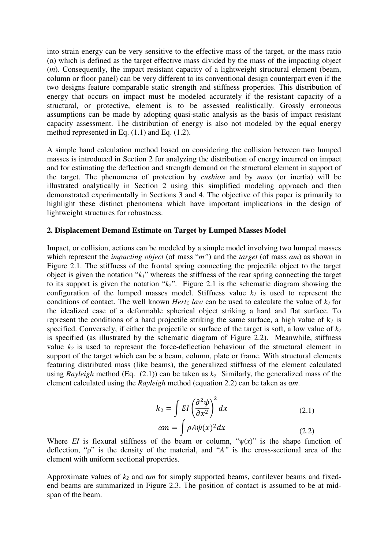into strain energy can be very sensitive to the effective mass of the target, or the mass ratio  $\alpha$ ) which is defined as the target effective mass divided by the mass of the impacting object (*m*). Consequently, the impact resistant capacity of a lightweight structural element (beam, column or floor panel) can be very different to its conventional design counterpart even if the two designs feature comparable static strength and stiffness properties. This distribution of energy that occurs on impact must be modeled accurately if the resistant capacity of a structural, or protective, element is to be assessed realistically. Grossly erroneous assumptions can be made by adopting quasi-static analysis as the basis of impact resistant capacity assessment. The distribution of energy is also not modeled by the equal energy method represented in Eq. (1.1) and Eq. (1.2).

A simple hand calculation method based on considering the collision between two lumped masses is introduced in Section 2 for analyzing the distribution of energy incurred on impact and for estimating the deflection and strength demand on the structural element in support of the target. The phenomena of protection by *cushion* and by *mass* (or inertia) will be illustrated analytically in Section 2 using this simplified modeling approach and then demonstrated experimentally in Sections 3 and 4. The objective of this paper is primarily to highlight these distinct phenomena which have important implications in the design of lightweight structures for robustness.

#### **2. Displacement Demand Estimate on Target by Lumped Masses Model**

Impact, or collision, actions can be modeled by a simple model involving two lumped masses which represent the *impacting object* (of mass "*m"*) and the *target* (of mass α*m*) as shown in Figure 2.1. The stiffness of the frontal spring connecting the projectile object to the target object is given the notation "*k1*" whereas the stiffness of the rear spring connecting the target to its support is given the notation "*k2*". Figure 2.1 is the schematic diagram showing the configuration of the lumped masses model. Stiffness value  $k<sub>l</sub>$  is used to represent the conditions of contact. The well known *Hertz law* can be used to calculate the value of  $k<sub>1</sub>$  for the idealized case of a deformable spherical object striking a hard and flat surface. To represent the conditions of a hard projectile striking the same surface, a high value of  $k_l$  is specified. Conversely, if either the projectile or surface of the target is soft, a low value of  $k_l$ is specified (as illustrated by the schematic diagram of Figure 2.2). Meanwhile, stiffness value  $k_2$  is used to represent the force-deflection behaviour of the structural element in support of the target which can be a beam, column, plate or frame. With structural elements featuring distributed mass (like beams), the generalized stiffness of the element calculated using *Rayleigh* method (Eq. (2.1)) can be taken as *k2.* Similarly, the generalized mass of the element calculated using the *Rayleigh* method (equation 2.2) can be taken as α*m*.

$$
k_2 = \int EI \left(\frac{\partial^2 \psi}{\partial x^2}\right)^2 dx
$$
\n
$$
\alpha m = \int \rho A \psi(x)^2 dx
$$
\n(2.1)\n(2.2)

Where *EI* is flexural stiffness of the beam or column, " $\psi(x)$ " is the shape function of deflection, "ρ" is the density of the material, and "*A"* is the cross-sectional area of the element with uniform sectional properties.

Approximate values of *k<sup>2</sup>* and α*m* for simply supported beams, cantilever beams and fixedend beams are summarized in Figure 2.3. The position of contact is assumed to be at midspan of the beam.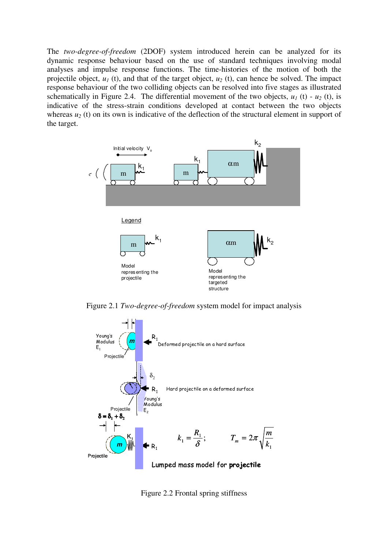The *two-degree-of-freedom* (2DOF) system introduced herein can be analyzed for its dynamic response behaviour based on the use of standard techniques involving modal analyses and impulse response functions. The time-histories of the motion of both the projectile object, *u1* (t), and that of the target object, *u2* (t), can hence be solved. The impact response behaviour of the two colliding objects can be resolved into five stages as illustrated schematically in Figure 2.4. The differential movement of the two objects,  $u_1$  (t) -  $u_2$  (t), is indicative of the stress-strain conditions developed at contact between the two objects whereas  $u_2$  (t) on its own is indicative of the deflection of the structural element in support of the target.



Figure 2.1 *Two-degree-of-freedom* system model for impact analysis



Figure 2.2 Frontal spring stiffness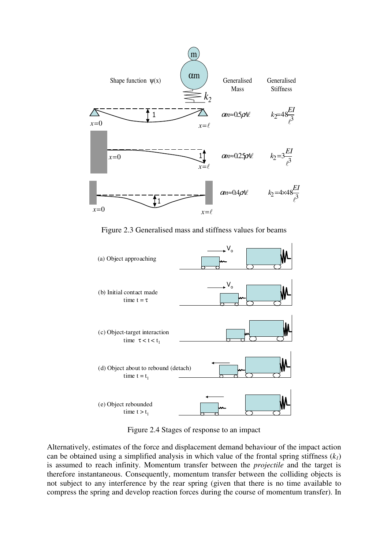

Figure 2.3 Generalised mass and stiffness values for beams



Figure 2.4 Stages of response to an impact

Alternatively, estimates of the force and displacement demand behaviour of the impact action can be obtained using a simplified analysis in which value of the frontal spring stiffness  $(k<sub>1</sub>)$ is assumed to reach infinity. Momentum transfer between the *projectile* and the target is therefore instantaneous. Consequently, momentum transfer between the colliding objects is not subject to any interference by the rear spring (given that there is no time available to compress the spring and develop reaction forces during the course of momentum transfer). In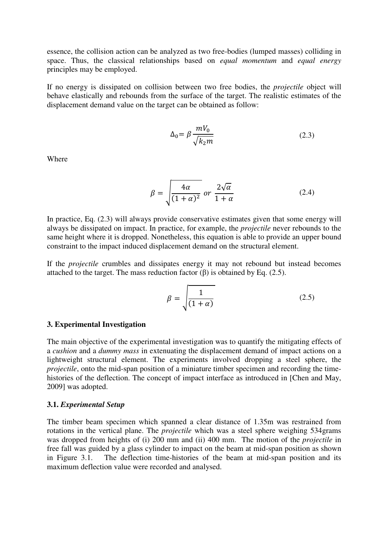essence, the collision action can be analyzed as two free-bodies (lumped masses) colliding in space. Thus, the classical relationships based on *equal momentum* and *equal energy* principles may be employed.

If no energy is dissipated on collision between two free bodies, the *projectile* object will behave elastically and rebounds from the surface of the target. The realistic estimates of the displacement demand value on the target can be obtained as follow:

$$
\Delta_0 = \beta \frac{mV_0}{\sqrt{k_2 m}}
$$
\n(2.3)

Where

$$
\beta = \sqrt{\frac{4\alpha}{(1+\alpha)^2}} \text{ or } \frac{2\sqrt{\alpha}}{1+\alpha} \tag{2.4}
$$

In practice, Eq. (2.3) will always provide conservative estimates given that some energy will always be dissipated on impact. In practice, for example, the *projectile* never rebounds to the same height where it is dropped. Nonetheless, this equation is able to provide an upper bound constraint to the impact induced displacement demand on the structural element.

If the *projectile* crumbles and dissipates energy it may not rebound but instead becomes attached to the target. The mass reduction factor  $(\beta)$  is obtained by Eq. (2.5).

$$
\beta = \sqrt{\frac{1}{(1+\alpha)}}\tag{2.5}
$$

#### **3. Experimental Investigation**

The main objective of the experimental investigation was to quantify the mitigating effects of a *cushion* and a *dummy mass* in extenuating the displacement demand of impact actions on a lightweight structural element. The experiments involved dropping a steel sphere, the *projectile*, onto the mid-span position of a miniature timber specimen and recording the timehistories of the deflection. The concept of impact interface as introduced in [Chen and May, 2009] was adopted.

#### **3.1.** *Experimental Setup*

The timber beam specimen which spanned a clear distance of 1.35m was restrained from rotations in the vertical plane. The *projectile* which was a steel sphere weighing 534grams was dropped from heights of (i) 200 mm and (ii) 400 mm. The motion of the *projectile* in free fall was guided by a glass cylinder to impact on the beam at mid-span position as shown in Figure 3.1. The deflection time-histories of the beam at mid-span position and its maximum deflection value were recorded and analysed.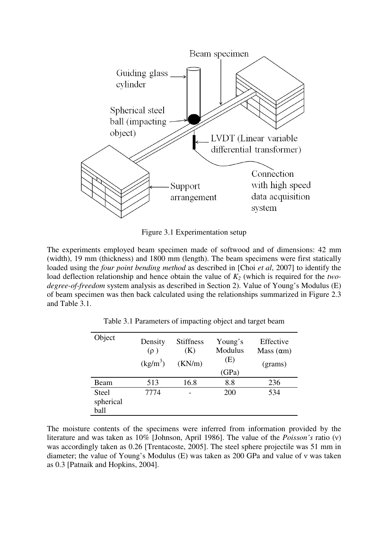

Figure 3.1 Experimentation setup

The experiments employed beam specimen made of softwood and of dimensions: 42 mm (width), 19 mm (thickness) and 1800 mm (length). The beam specimens were first statically loaded using the *four point bending method* as described in [Choi *et al*, 2007] to identify the load deflection relationship and hence obtain the value of *K2* (which is required for the *twodegree-of-freedom* system analysis as described in Section 2). Value of Young's Modulus (E) of beam specimen was then back calculated using the relationships summarized in Figure 2.3 and Table 3.1.

| Object                            | Density<br>$(\rho)$<br>$(kg/m^3)$ | <b>Stiffness</b><br>(K)<br>(KN/m) | Young's<br>Modulus<br>(E)<br>(GPa) | Effective<br>Mass $(\alpha m)$<br>(grams) |
|-----------------------------------|-----------------------------------|-----------------------------------|------------------------------------|-------------------------------------------|
| Beam                              | 513                               | 16.8                              | 8.8                                | 236                                       |
| <b>Steel</b><br>spherical<br>ball | 7774                              |                                   | 200                                | 534                                       |

Table 3.1 Parameters of impacting object and target beam

The moisture contents of the specimens were inferred from information provided by the literature and was taken as 10% [Johnson, April 1986]. The value of the *Poisson's* ratio (ν) was accordingly taken as 0.26 [Trentacoste, 2005]. The steel sphere projectile was 51 mm in diameter; the value of Young's Modulus (E) was taken as 200 GPa and value of ν was taken as 0.3 [Patnaik and Hopkins, 2004].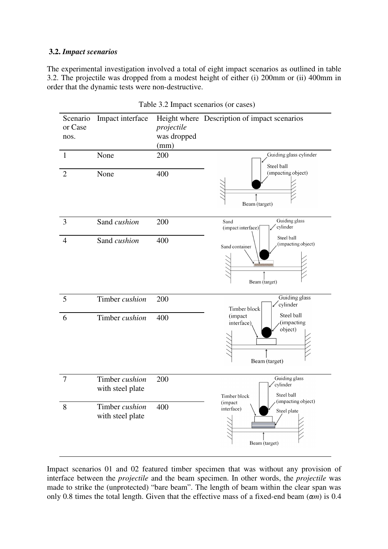### **3.2.** *Impact scenarios*

The experimental investigation involved a total of eight impact scenarios as outlined in table 3.2. The projectile was dropped from a modest height of either (i) 200mm or (ii) 400mm in order that the dynamic tests were non-destructive.

| Scenario<br>or Case<br>nos. | Impact interface                   | projectile<br>was dropped<br>(mm) | Height where Description of impact scenarios                                   |  |  |
|-----------------------------|------------------------------------|-----------------------------------|--------------------------------------------------------------------------------|--|--|
| $\mathbf{1}$                | None                               | 200                               | Guiding glass cylinder<br>Steel ball                                           |  |  |
| $\overline{2}$              | None                               | 400                               | (impacting object)<br>Beam (target)                                            |  |  |
| 3                           | Sand cushion                       | 200                               | Guiding glass<br>Sand<br>cylinder<br>(impact interface)                        |  |  |
| $\overline{4}$              | Sand cushion                       | 400                               | Steel ball<br>(impacting object)<br>Sand container<br>Beam (target)            |  |  |
| 5                           | Timber cushion                     | 200                               | Guiding glass<br>/cylinder<br>Timber block                                     |  |  |
| 6                           | Timber cushion                     | 400                               | Steel ball<br>(impact<br>(impacting<br>interface),<br>object)<br>Beam (target) |  |  |
| 7                           | Timber cushion<br>with steel plate | 200                               | Guiding glass<br>cylinder<br>Steel ball<br>Timber block<br>(impacting object)  |  |  |
| 8                           | Timber cushion<br>with steel plate | 400                               | (impact<br>interface)<br>Steel plate<br>Beam (target)                          |  |  |

Table 3.2 Impact scenarios (or cases)

Impact scenarios 01 and 02 featured timber specimen that was without any provision of interface between the *projectile* and the beam specimen. In other words, the *projectile* was made to strike the (unprotected) "bare beam". The length of beam within the clear span was only 0.8 times the total length. Given that the effective mass of a fixed-end beam  $(\alpha m)$  is 0.4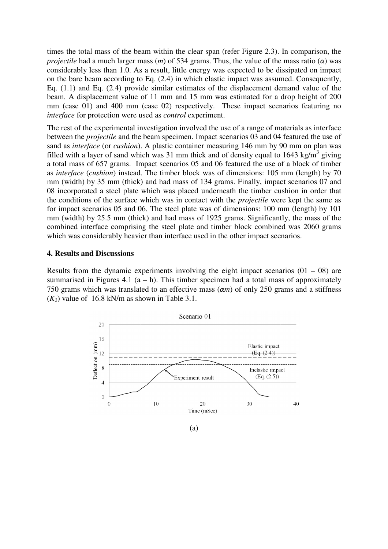times the total mass of the beam within the clear span (refer Figure 2.3). In comparison, the *projectile* had a much larger mass  $(m)$  of 534 grams. Thus, the value of the mass ratio  $(\alpha)$  was considerably less than 1.0. As a result, little energy was expected to be dissipated on impact on the bare beam according to Eq. (2.4) in which elastic impact was assumed. Consequently, Eq. (1.1) and Eq. (2.4) provide similar estimates of the displacement demand value of the beam. A displacement value of 11 mm and 15 mm was estimated for a drop height of 200 mm (case 01) and 400 mm (case 02) respectively. These impact scenarios featuring no *interface* for protection were used as *control* experiment. nd Eq. (2.4) provide similar estimates of the splacement value of 11 mm and 15 mm was<br>01) and 400 mm (case 02) respectively. T<br>r protection were used as *control* experiment.

The rest of the experimental investigation involved the use of a range of materials as interface between the *projectile* and the beam specimen. Impact scenarios 03 and 04 featured the use of sand as *interface* (or *cushion*). A plastic container measuring 146 mm by 90 mm on plan was filled with a layer of sand which was 31 mm thick and of density equal to 1643 kg/m<sup>3</sup> giving a total mass of 657 grams. Impact scenarios 05 and 06 featured the use of a block of timber as *interface* (*cushion*) instead. The timber block was of dimensions: 105 mm (length) by 70 mm (width) by 35 mm (thick) and had mass of 134 grams. Finally, impact scenarios 07 and 08 incorporated a steel plate which was placed underneath the timber cushion in order that the conditions of the surface which was in contact with the *projectile* were kept the same as for impact scenarios 05 and 06. The steel plate was of dimensions: 100 mm (length) by 101 mm (width) by 25.5 mm (thick) and had mass of 1925 grams. Significantly, the mass of the combined interface comprising the steel plate and timber block combined was 2060 grams which was considerably heavier than interface used in the other impact scenarios.

### **4. Results and Discussions**

Results from the dynamic experiments involving the eight impact scenarios  $(01 - 08)$  are summarised in Figures 4.1  $(a - h)$ . This timber specimen had a total mass of approximately 750 grams which was translated to an effective mass  $(\alpha m)$  of only 250 grams and a stiffness  $(K_2)$  value of 16.8 kN/m as shown in Table 3.1.

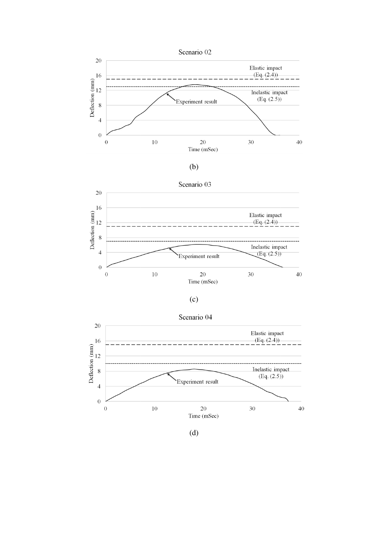









(d)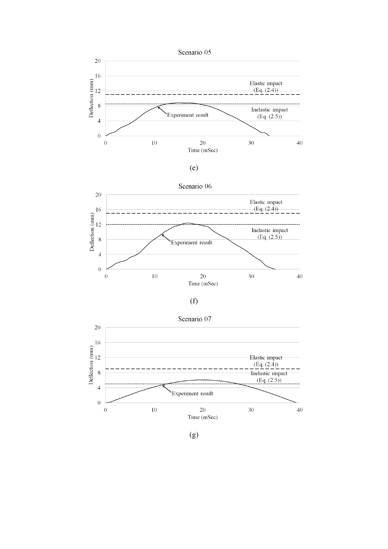











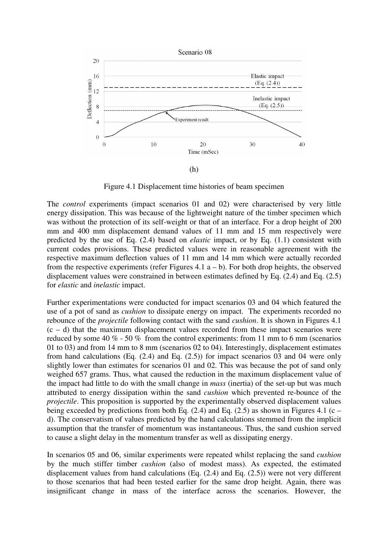

Figure 4.1 Displacement time histories of beam specimen

The *control* experiments (impact scenarios 01 and 02) were characterised by very little energy dissipation. This was because of the lightweight nature of the timber specimen which was without the protection of its self-weight or that of an interface. For a drop height mm and 400 mm displacement demand values of 11 mm and 15 mm respectively were predicted by the use of Eq. (2.4) based on *elastic* impact, or by Eq. (1.1) consistent with current codes provisions. These predicted values were in reasonable agreement with the respective maximum deflection values of 11 mm and 14 mm which were actually recorded from the respective experiments (refer Figures  $4.1$  a  $-$  b). For both drop heights, the observed displacement values were constrained in between estimates defined by Eq. (2.4) and Eq. (2.5) for *elastic* and *inelastic* impact. me histories of beam specimen<br>3 01 and 02) were characterised by very little<br>lightweight nature of the timber specimen which<br>or that of an interface. For a drop height of 200

Further experimentations were conducted for impact scenarios 03 and 04 which featured the use of a pot of sand as *cushion* to dissipate energy on impact. The experiments recorded no rebounce of the *projectile* following contact with the sand *cushion*. It is shown in Figures 4.1  $(c - d)$  that the maximum displacement values recorded from these impact scenarios were reduced by some 40  $\%$  - 50  $\%$  from the control experiments: from 11 mm to 6 mm (scenarios 01 to 03) and from 14 mm to 8 mm (scenarios 02 to 04). Interestingly, displacement estimates from hand calculations (Eq. (2.4) and Eq. (2.5)) for impact scenarios 03 and 04 were only slightly lower than estimates for scenarios 01 and 02. This was because the pot of sand only weighed 657 grams. Thus, what caused the reduction in the maximum displacement value of the impact had little to do with the small change in *mass* (inertia) of the set attributed to energy dissipation within the sand *cushion* which prevented re-bounce of the *projectile*. This proposition is supported by the experimentally observed displacement values being exceeded by predictions from both Eq.  $(2.4)$  and Eq.  $(2.5)$  as shown in Figures 4.1 (c – d). The conservatism of values predicted by the hand calculations stemmed from the implicit assumption that the transfer of momentum was instantaneous. Thus, the sand cushion served to cause a slight delay in the momentum transfer as well as dissipating energy. ) for impact scenarios 03 and 04 were only<br>d 02. This was because the pot of sand only<br>ction in the maximum displacement value of<br>in *mass* (inertia) of the set-up but was much

In scenarios 05 and 06, similar experiments were repeated whilst replacing the sand *cushion* by the much stiffer timber *cushion* (also of modest mass). As expected, the estimated displacement values from hand calculations  $(Eq. (2.4)$  and  $Eq. (2.5)$ ) were not very different to those scenarios that had been tested earlier for the same drop height. Again, there was insignificant change in mass of the interface across the scenarios. However, the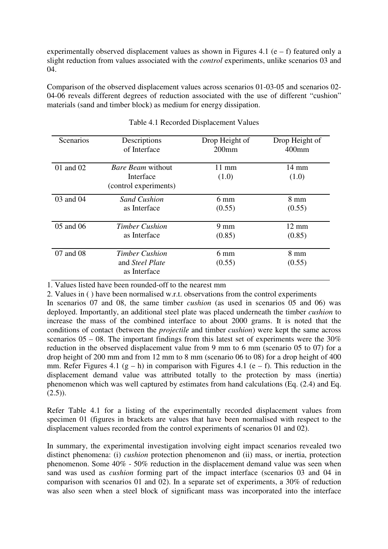experimentally observed displacement values as shown in Figures 4.1 (e – f) featured only a slight reduction from values associated with the *control* experiments, unlike scenarios 03 and 04.

Comparison of the observed displacement values across scenarios 01-03-05 and scenarios 02- 04-06 reveals different degrees of reduction associated with the use of different "cushion" materials (sand and timber block) as medium for energy dissipation.

| Scenarios | Descriptions                                                   | Drop Height of           | Drop Height of           |
|-----------|----------------------------------------------------------------|--------------------------|--------------------------|
|           | of Interface                                                   | $200$ mm                 | $400$ mm                 |
| 01 and 02 | <i>Bare Beam</i> without<br>Interface<br>(control experiments) | $11 \text{ mm}$<br>(1.0) | $14 \text{ mm}$<br>(1.0) |
| 03 and 04 | <b>Sand Cushion</b>                                            | $6 \text{ mm}$           | $8 \text{ mm}$           |
|           | as Interface                                                   | (0.55)                   | (0.55)                   |
| 05 and 06 | <b>Timber Cushion</b>                                          | $9 \text{ mm}$           | $12 \text{ mm}$          |
|           | as Interface                                                   | (0.85)                   | (0.85)                   |
| 07 and 08 | <b>Timber Cushion</b><br>and Steel Plate<br>as Interface       | $6 \text{ mm}$<br>(0.55) | $8 \text{ mm}$<br>(0.55) |

1. Values listed have been rounded-off to the nearest mm

2. Values in ( ) have been normalised w.r.t. observations from the control experiments

In scenarios 07 and 08, the same timber *cushion* (as used in scenarios 05 and 06) was deployed. Importantly, an additional steel plate was placed underneath the timber *cushion* to increase the mass of the combined interface to about 2000 grams. It is noted that the conditions of contact (between the *projectile* and timber *cushion*) were kept the same across scenarios  $05 - 08$ . The important findings from this latest set of experiments were the 30% reduction in the observed displacement value from 9 mm to 6 mm (scenario 05 to 07) for a drop height of 200 mm and from 12 mm to 8 mm (scenario 06 to 08) for a drop height of 400 mm. Refer Figures 4.1 (g – h) in comparison with Figures 4.1 (e – f). This reduction in the displacement demand value was attributed totally to the protection by mass (inertia) phenomenon which was well captured by estimates from hand calculations (Eq. (2.4) and Eq.  $(2.5)$ .

Refer Table 4.1 for a listing of the experimentally recorded displacement values from specimen 01 (figures in brackets are values that have been normalised with respect to the displacement values recorded from the control experiments of scenarios 01 and 02).

In summary, the experimental investigation involving eight impact scenarios revealed two distinct phenomena: (i) *cushion* protection phenomenon and (ii) mass, or inertia, protection phenomenon. Some 40% - 50% reduction in the displacement demand value was seen when sand was used as *cushion* forming part of the impact interface (scenarios 03 and 04 in comparison with scenarios 01 and 02). In a separate set of experiments, a 30% of reduction was also seen when a steel block of significant mass was incorporated into the interface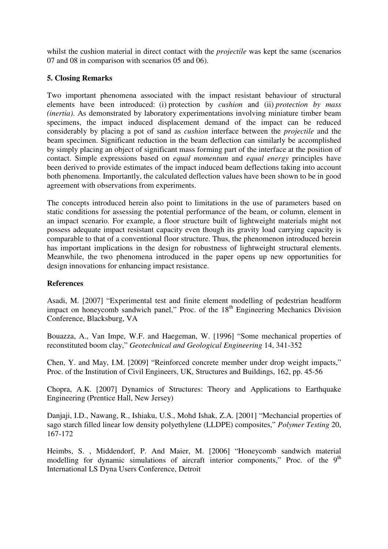whilst the cushion material in direct contact with the *projectile* was kept the same (scenarios 07 and 08 in comparison with scenarios 05 and 06).

# **5. Closing Remarks**

Two important phenomena associated with the impact resistant behaviour of structural elements have been introduced: (i) protection by *cushion* and (ii) *protection by mass (inertia)*. As demonstrated by laboratory experimentations involving miniature timber beam specimens, the impact induced displacement demand of the impact can be reduced considerably by placing a pot of sand as *cushion* interface between the *projectile* and the beam specimen. Significant reduction in the beam deflection can similarly be accomplished by simply placing an object of significant mass forming part of the interface at the position of contact. Simple expressions based on *equal momentum* and *equal energy* principles have been derived to provide estimates of the impact induced beam deflections taking into account both phenomena. Importantly, the calculated deflection values have been shown to be in good agreement with observations from experiments.

The concepts introduced herein also point to limitations in the use of parameters based on static conditions for assessing the potential performance of the beam, or column, element in an impact scenario. For example, a floor structure built of lightweight materials might not possess adequate impact resistant capacity even though its gravity load carrying capacity is comparable to that of a conventional floor structure. Thus, the phenomenon introduced herein has important implications in the design for robustness of lightweight structural elements. Meanwhile, the two phenomena introduced in the paper opens up new opportunities for design innovations for enhancing impact resistance.

## **References**

Asadi, M. [2007] "Experimental test and finite element modelling of pedestrian headform impact on honeycomb sandwich panel," Proc. of the 18<sup>th</sup> Engineering Mechanics Division Conference, Blacksburg, VA

Bouazza, A., Van Impe, W.F. and Haegeman, W. [1996] "Some mechanical properties of reconstituted boom clay," *Geotechnical and Geological Engineering* 14, 341-352

Chen, Y. and May, I.M. [2009] "Reinforced concrete member under drop weight impacts," Proc. of the Institution of Civil Engineers, UK, Structures and Buildings, 162, pp. 45-56

Chopra, A.K. [2007] Dynamics of Structures: Theory and Applications to Earthquake Engineering (Prentice Hall, New Jersey)

Danjaji, I.D., Nawang, R., Ishiaku, U.S., Mohd Ishak, Z.A. [2001] "Mechancial properties of sago starch filled linear low density polyethylene (LLDPE) composites," *Polymer Testing* 20, 167-172

Heimbs, S. , Middendorf, P. And Maier, M. [2006] "Honeycomb sandwich material modelling for dynamic simulations of aircraft interior components," Proc. of the  $9<sup>th</sup>$ International LS Dyna Users Conference, Detroit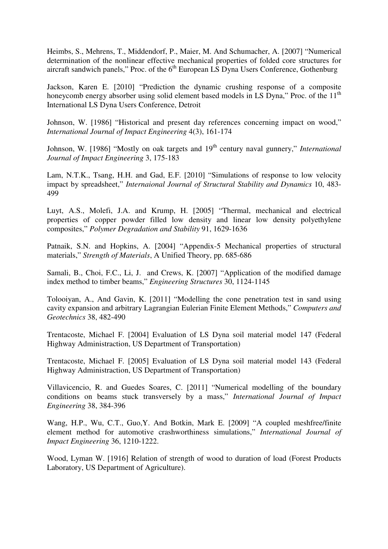Heimbs, S., Mehrens, T., Middendorf, P., Maier, M. And Schumacher, A. [2007] "Numerical determination of the nonlinear effective mechanical properties of folded core structures for aircraft sandwich panels," Proc. of the 6<sup>th</sup> European LS Dyna Users Conference, Gothenburg

Jackson, Karen E. [2010] "Prediction the dynamic crushing response of a composite honeycomb energy absorber using solid element based models in LS Dyna," Proc. of the  $11<sup>th</sup>$ International LS Dyna Users Conference, Detroit

Johnson, W. [1986] "Historical and present day references concerning impact on wood," *International Journal of Impact Engineering* 4(3), 161-174

Johnson, W. [1986] "Mostly on oak targets and 19<sup>th</sup> century naval gunnery," *International Journal of Impact Engineering* 3, 175-183

Lam, N.T.K., Tsang, H.H. and Gad, E.F. [2010] "Simulations of response to low velocity impact by spreadsheet," *Internaional Journal of Structural Stability and Dynamics* 10, 483- 499

Luyt, A.S., Molefi, J.A. and Krump, H. [2005] "Thermal, mechanical and electrical properties of copper powder filled low density and linear low density polyethylene composites," *Polymer Degradation and Stability* 91, 1629-1636

Patnaik, S.N. and Hopkins, A. [2004] "Appendix-5 Mechanical properties of structural materials," *Strength of Materials*, A Unified Theory, pp. 685-686

Samali, B., Choi, F.C., Li, J. and Crews, K. [2007] "Application of the modified damage index method to timber beams," *Engineering Structures* 30, 1124-1145

Tolooiyan, A., And Gavin, K. [2011] "Modelling the cone penetration test in sand using cavity expansion and arbitrary Lagrangian Eulerian Finite Element Methods," *Computers and Geotechnics* 38, 482-490

Trentacoste, Michael F. [2004] Evaluation of LS Dyna soil material model 147 (Federal Highway Administraction, US Department of Transportation)

Trentacoste, Michael F. [2005] Evaluation of LS Dyna soil material model 143 (Federal Highway Administraction, US Department of Transportation)

Villavicencio, R. and Guedes Soares, C. [2011] "Numerical modelling of the boundary conditions on beams stuck transversely by a mass," *International Journal of Impact Engineering* 38, 384-396

Wang, H.P., Wu, C.T., Guo,Y. And Botkin, Mark E. [2009] "A coupled meshfree/finite element method for automotive crashworthiness simulations," *International Journal of Impact Engineering* 36, 1210-1222.

Wood, Lyman W. [1916] Relation of strength of wood to duration of load (Forest Products Laboratory, US Department of Agriculture).